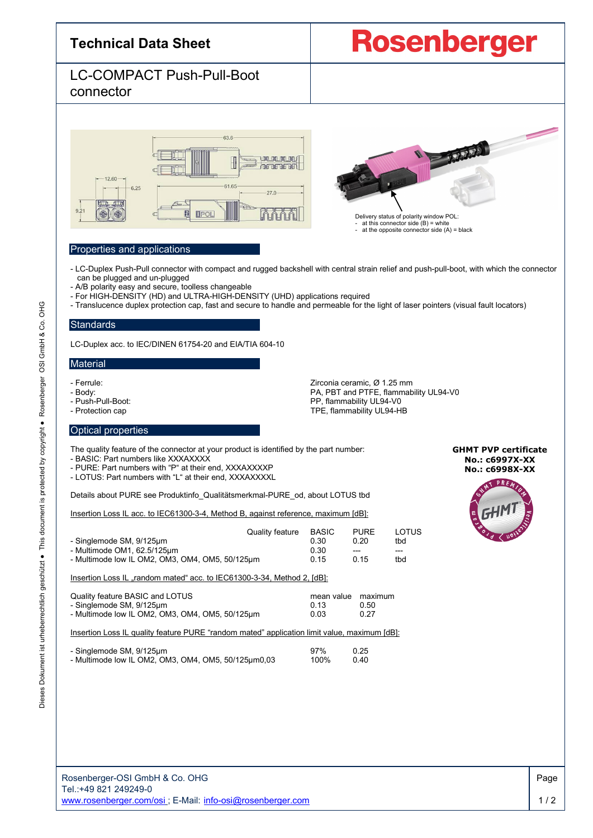| <b>Technical Data Sheet</b>                   | <b>Rosenberg</b> |
|-----------------------------------------------|------------------|
| <b>LC-COMPACT Push-Pull-Boot</b><br>connector |                  |
| 63.6<br>$-1260 - -$                           |                  |

 $-27.0$ 

ነበበ

- LC-Duplex Push-Pull connector with compact and rugged backshell with central strain relief and push-pull-boot, with which the connector

- Translucence duplex protection cap, fast and secure to handle and permeable for the light of laser pointers (visual fault locators) **Standards** 

G

Dieses Dokument ist urheberrechtlich geschützt ● This document is protected by copyright ● Rosenberger OSI GmbH & Co. OH

urheberrechtlich geschützt ·

 $\frac{1}{20}$ 

Dokument

Dieses

This document is protected by copyright . Rosenberger

LC-Duplex acc. to IEC/DINEN 61754-20 and EIA/TIA 604-10

- A/B polarity easy and secure, toolless changeable

## **Material**

- 
- 
- 
- 

- Ferrule: Zirconia ceramic, Ø 1.25 mm - Body:<br>
Push-Pull-Boot: Push Pull-Boot:<br>
PP, flammability UL94-V0 - Push-Pull-Boot: Push-Pull-Boot: Push-Pull-Boot: PE, flammability UL94-V0<br>- Protection cap Protection Cap TPE, flammability UL94-HB

Delivery status of polarity window POL: - at this connector side (B) = white - at the opposite connector side (A) = black

#### Optical properties

The quality feature of the connector at your product is identified by the part number:

- For HIGH-DENSITY (HD) and ULTRA-HIGH-DENSITY (UHD) applications required

61.65

- BASIC: Part numbers like XXXAXXXX

Properties and applications

 $-6.25$ 

can be plugged and un-plugged

- PURE: Part numbers with "P" at their end, XXXAXXXXP
- LOTUS: Part numbers with "L" at their end, XXXAXXXXL

Details about PURE see Produktinfo\_Qualitätsmerkmal-PURE\_od, about LOTUS tbd

Insertion Loss IL acc. to IEC61300-3-4, Method B, against reference, maximum [dB]:

| - Singlemode SM, 9/125um<br>- Multimode OM1, $62.5/125 \mu m$<br>- Multimode low IL OM2, OM3, OM4, OM5, 50/125um | Quality feature | <b>BASIC</b><br>0.30<br>0.30<br>0.15 | <b>PURE</b><br>0.20<br>---<br>0.15 | LOTUS<br>tbd<br>tbd |
|------------------------------------------------------------------------------------------------------------------|-----------------|--------------------------------------|------------------------------------|---------------------|
| lnsertion Loss IL "random mated" acc. to IEC61300-3-34, Method 2, [dB]:                                          |                 |                                      |                                    |                     |

| Quality feature BASIC and LOTUS                 | mean value maximum |      |  |  |
|-------------------------------------------------|--------------------|------|--|--|
| - Singlemode SM, 9/125µm                        | O 13               | 0.50 |  |  |
| - Multimode low IL OM2, OM3, OM4, OM5, 50/125µm | 0.03               | 0.27 |  |  |

Insertion Loss IL quality feature PURE "random mated" application limit value, maximum [dB]:

| - Singlemode SM, 9/125µm                            | 97%  | 0.25 |
|-----------------------------------------------------|------|------|
| - Multimode low IL OM2, OM3, OM4, OM5, 50/125µm0,03 | 100% | 0.40 |

#### Rosenberger-OSI GmbH & Co. OHG Tel.:+49 821 249249-0 [www.rosenberger.com/osi](http://www.rosenberger.com/osi) ; E-Mail: [info-osi@rosenberger.com](mailto:info-osi@rosenberger.com)

**GHMT PVP certificate No.: c6997X-XX No.: c6998X-XX**